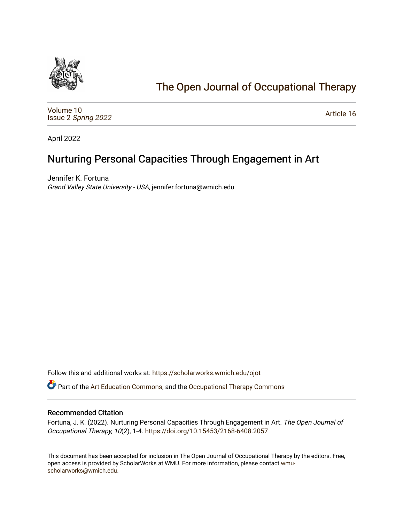

# [The Open Journal of Occupational Therapy](https://scholarworks.wmich.edu/ojot)

[Volume 10](https://scholarworks.wmich.edu/ojot/vol10) Issue 2 [Spring 2022](https://scholarworks.wmich.edu/ojot/vol10/iss2) 

[Article 16](https://scholarworks.wmich.edu/ojot/vol10/iss2/16) 

April 2022

# Nurturing Personal Capacities Through Engagement in Art

Jennifer K. Fortuna Grand Valley State University - USA, jennifer.fortuna@wmich.edu

Follow this and additional works at: [https://scholarworks.wmich.edu/ojot](https://scholarworks.wmich.edu/ojot?utm_source=scholarworks.wmich.edu%2Fojot%2Fvol10%2Fiss2%2F16&utm_medium=PDF&utm_campaign=PDFCoverPages)

Part of the [Art Education Commons](http://network.bepress.com/hgg/discipline/1149?utm_source=scholarworks.wmich.edu%2Fojot%2Fvol10%2Fiss2%2F16&utm_medium=PDF&utm_campaign=PDFCoverPages), and the [Occupational Therapy Commons](http://network.bepress.com/hgg/discipline/752?utm_source=scholarworks.wmich.edu%2Fojot%2Fvol10%2Fiss2%2F16&utm_medium=PDF&utm_campaign=PDFCoverPages) 

### Recommended Citation

Fortuna, J. K. (2022). Nurturing Personal Capacities Through Engagement in Art. The Open Journal of Occupational Therapy, 10(2), 1-4. <https://doi.org/10.15453/2168-6408.2057>

This document has been accepted for inclusion in The Open Journal of Occupational Therapy by the editors. Free, open access is provided by ScholarWorks at WMU. For more information, please contact [wmu](mailto:wmu-scholarworks@wmich.edu)[scholarworks@wmich.edu.](mailto:wmu-scholarworks@wmich.edu)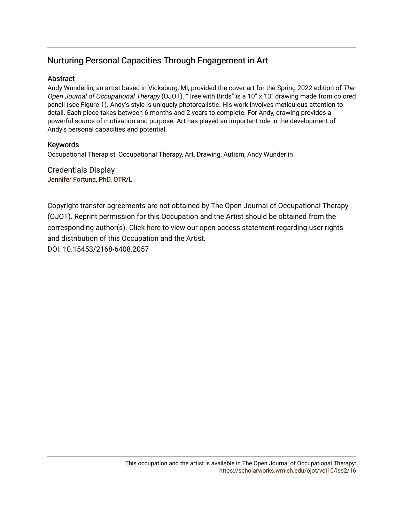# Nurturing Personal Capacities Through Engagement in Art

## **Abstract**

Andy Wunderlin, an artist based in Vicksburg, MI, provided the cover art for the Spring 2022 edition of The Open Journal of Occupational Therapy (OJOT). "Tree with Birds" is a 10" x 13" drawing made from colored pencil (see Figure 1). Andy's style is uniquely photorealistic. His work involves meticulous attention to detail. Each piece takes between 6 months and 2 years to complete. For Andy, drawing provides a powerful source of motivation and purpose. Art has played an important role in the development of Andy's personal capacities and potential.

## Keywords

Occupational Therapist, Occupational Therapy, Art, Drawing, Autism, Andy Wunderlin

Credentials Display [Jennifer Fortuna, PhD](http://scholarworks.wmich.edu/boardprofiles/20/), OTR/L

Copyright transfer agreements are not obtained by The Open Journal of Occupational Therapy (OJOT). Reprint permission for this Occupation and the Artist should be obtained from the corresponding author(s). Click [here](https://scholarworks.wmich.edu/ojot/policies.html#rights) to view our open access statement regarding user rights and distribution of this Occupation and the Artist. DOI: 10.15453/2168-6408.2057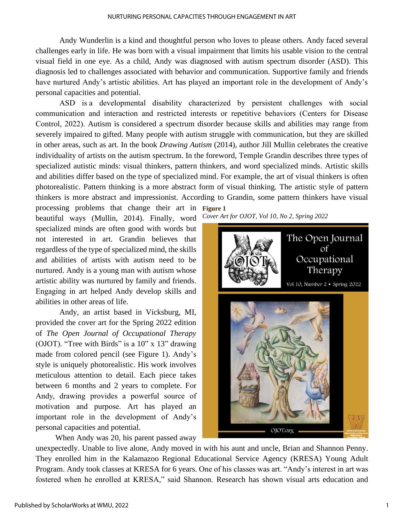Andy Wunderlin is a kind and thoughtful person who loves to please others. Andy faced several challenges early in life. He was born with a visual impairment that limits his usable vision to the central visual field in one eye. As a child, Andy was diagnosed with autism spectrum disorder (ASD). This diagnosis led to challenges associated with behavior and communication. Supportive family and friends have nurtured Andy's artistic abilities. Art has played an important role in the development of Andy's personal capacities and potential.

ASD is a developmental disability characterized by persistent challenges with social communication and interaction and restricted interests or repetitive behaviors (Centers for Disease Control, 2022). Autism is considered a spectrum disorder because skills and abilities may range from severely impaired to gifted. Many people with autism struggle with communication, but they are skilled in other areas, such as art. In the book *Drawing Autism* (2014), author Jill Mullin celebrates the creative individuality of artists on the autism spectrum. In the foreword, Temple Grandin describes three types of specialized autistic minds: visual thinkers, pattern thinkers, and word specialized minds. Artistic skills and abilities differ based on the type of specialized mind. For example, the art of visual thinkers is often photorealistic. Pattern thinking is a more abstract form of visual thinking. The artistic style of pattern thinkers is more abstract and impressionist. According to Grandin, some pattern thinkers have visual

processing problems that change their art in **Figure 1**  beautiful ways (Mullin, 2014). Finally, word specialized minds are often good with words but not interested in art. Grandin believes that regardless of the type of specialized mind, the skills and abilities of artists with autism need to be nurtured. Andy is a young man with autism whose artistic ability was nurtured by family and friends. Engaging in art helped Andy develop skills and abilities in other areas of life.

Andy, an artist based in Vicksburg, MI, provided the cover art for the Spring 2022 edition of *The Open Journal of Occupational Therapy* (OJOT). "Tree with Birds" is a  $10"$  x  $13"$  drawing made from colored pencil (see Figure 1). Andy's style is uniquely photorealistic. His work involves meticulous attention to detail. Each piece takes between 6 months and 2 years to complete. For Andy, drawing provides a powerful source of motivation and purpose. Art has played an important role in the development of Andy's personal capacities and potential.

When Andy was 20, his parent passed away

*Cover Art for OJOT, Vol 10, No 2, Spring 2022* 



unexpectedly. Unable to live alone, Andy moved in with his aunt and uncle, Brian and Shannon Penny. They enrolled him in the Kalamazoo Regional Educational Service Agency (KRESA) Young Adult Program. Andy took classes at KRESA for 6 years. One of his classes was art. "Andy's interest in art was fostered when he enrolled at KRESA," said Shannon. Research has shown visual arts education and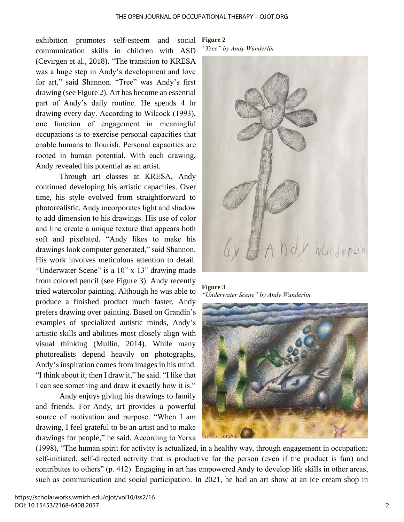exhibition promotes self-esteem and social communication skills in children with ASD (Cevirgen et al., 2018). "The transition to KRESA was a huge step in Andy's development and love for art," said Shannon. "Tree" was Andy's first drawing (see Figure 2). Art has become an essential part of Andy's daily routine. He spends 4 hr drawing every day. According to Wilcock (1993), one function of engagement in meaningful occupations is to exercise personal capacities that enable humans to flourish. Personal capacities are rooted in human potential. With each drawing, Andy revealed his potential as an artist.

Through art classes at KRESA, Andy continued developing his artistic capacities. Over time, his style evolved from straightforward to photorealistic. Andy incorporates light and shadow to add dimension to his drawings. His use of color and line create a unique texture that appears both soft and pixelated. "Andy likes to make his drawings look computer generated," said Shannon. His work involves meticulous attention to detail. "Underwater Scene" is a 10" x 13" drawing made from colored pencil (see Figure 3). Andy recently tried watercolor painting. Although he was able to produce a finished product much faster, Andy prefers drawing over painting. Based on Grandin's examples of specialized autistic minds, Andy's artistic skills and abilities most closely align with visual thinking (Mullin, 2014). While many photorealists depend heavily on photographs, Andy's inspiration comes from images in his mind. "I think about it; then I draw it," he said. "I like that I can see something and draw it exactly how it is."

Andy enjoys giving his drawings to family and friends. For Andy, art provides a powerful source of motivation and purpose. "When I am drawing, I feel grateful to be an artist and to make drawings for people," he said. According to Yerxa

**Figure 2** 

*"Tree" by Andy Wunderlin*



**Figure 3**  *"Underwater Scene" by Andy Wunderlin*



(1998), "The human spirit for activity is actualized, in a healthy way, through engagement in occupation: self-initiated, self-directed activity that is productive for the person (even if the product is fun) and contributes to others" (p. 412). Engaging in art has empowered Andy to develop life skills in other areas, such as communication and social participation. In 2021, he had an art show at an ice cream shop in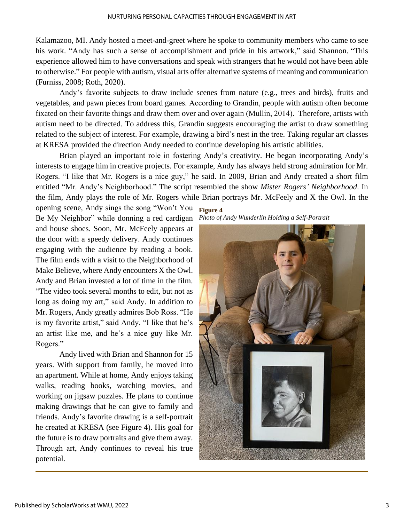Kalamazoo, MI. Andy hosted a meet-and-greet where he spoke to community members who came to see his work. "Andy has such a sense of accomplishment and pride in his artwork," said Shannon. "This experience allowed him to have conversations and speak with strangers that he would not have been able to otherwise." For people with autism, visual arts offer alternative systems of meaning and communication (Furniss, 2008; Roth, 2020).

Andy's favorite subjects to draw include scenes from nature (e.g., trees and birds), fruits and vegetables, and pawn pieces from board games. According to Grandin, people with autism often become fixated on their favorite things and draw them over and over again (Mullin, 2014). Therefore, artists with autism need to be directed. To address this, Grandin suggests encouraging the artist to draw something related to the subject of interest. For example, drawing a bird's nest in the tree. Taking regular art classes at KRESA provided the direction Andy needed to continue developing his artistic abilities.

Brian played an important role in fostering Andy's creativity. He began incorporating Andy's interests to engage him in creative projects. For example, Andy has always held strong admiration for Mr. Rogers. "I like that Mr. Rogers is a nice guy," he said. In 2009, Brian and Andy created a short film entitled "Mr. Andy's Neighborhood." The script resembled the show *Mister Rogers' Neighborhood*. In the film, Andy plays the role of Mr. Rogers while Brian portrays Mr. McFeely and X the Owl. In the

opening scene, Andy sings the song "Won't You **Figure 4**  Be My Neighbor" while donning a red cardigan and house shoes. Soon, Mr. McFeely appears at the door with a speedy delivery. Andy continues engaging with the audience by reading a book. The film ends with a visit to the Neighborhood of Make Believe, where Andy encounters X the Owl. Andy and Brian invested a lot of time in the film. "The video took several months to edit, but not as long as doing my art," said Andy. In addition to Mr. Rogers, Andy greatly admires Bob Ross. "He is my favorite artist," said Andy. "I like that he's an artist like me, and he's a nice guy like Mr. Rogers."

Andy lived with Brian and Shannon for 15 years. With support from family, he moved into an apartment. While at home, Andy enjoys taking walks, reading books, watching movies, and working on jigsaw puzzles. He plans to continue making drawings that he can give to family and friends. Andy's favorite drawing is a self-portrait he created at KRESA (see Figure 4). His goal for the future is to draw portraits and give them away. Through art, Andy continues to reveal his true potential.

*Photo of Andy Wunderlin Holding a Self-Portrait*